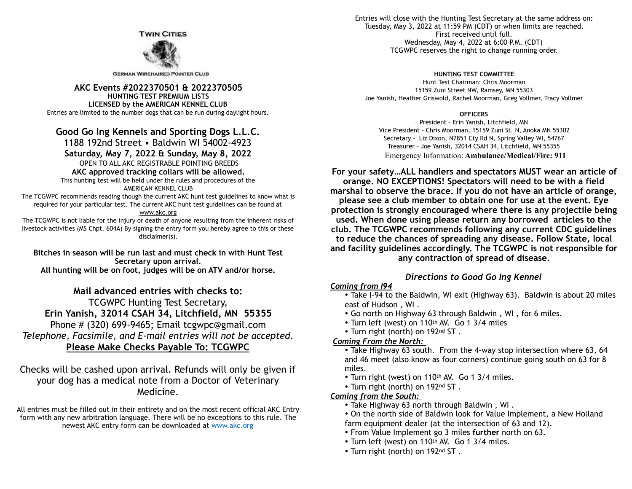**TWIN CITIES** 



**GERMAN WIREHAIRED POINTER CLUB** 

**AKC Events #2022370501 & 2022370505 HUNTING TEST PREMIUM LISTS LICENSED by the AMERICAN KENNEL CLUB**  Entries are limited to the number dogs that can be run during daylight hours.

# **Good Go Ing Kennels and Sporting Dogs L.L.C.**

1188 192nd Street • Baldwin WI 54002-4923

## **Saturday, May 7, 2022 & Sunday, May 8, 2022**

OPEN TO ALL AKC REGISTRABLE POINTING BREEDS

### **AKC approved tracking collars will be allowed.**

This hunting test will be held under the rules and procedures of the

#### AMERICAN KENNEL CLUB

The TCGWPC recommends reading though the current AKC hunt test guidelines to know what is required for your particular test. The current AKC hunt test guidelines can be found at

#### www.akc.org

The TCGWPC is not liable for the injury or death of anyone resulting from the inherent risks of livestock activities (MS Chpt. 604A) By signing the entry form you hereby agree to this or these disclaimer(s).

**Bitches in season will be run last and must check in with Hunt Test Secretary upon arrival.** 

**All hunting will be on foot, judges will be on ATV and/or horse.** 

**Mail advanced entries with checks to:**  TCGWPC Hunting Test Secretary, **Erin Yanish, 32014 CSAH 34, Litchfield, MN 55355**  Phone # (320) 699-9465; Email tcgwpc@gmail.com *Telephone, Facsimile, and E-mail entries will not be accepted.*  **Please Make Checks Payable To: TCGWPC** 

Checks will be cashed upon arrival. Refunds will only be given if your dog has a medical note from a Doctor of Veterinary Medicine.

All entries must be filled out in their entirety and on the most recent official AKC Entry form with any new arbitration language. There will be no exceptions to this rule. The newest AKC entry form can be downloaded at [www.akc.org](http://www.akc.org)

Entries will close with the Hunting Test Secretary at the same address on: Tuesday, May 3, 2022 at 11:59 PM (CDT) or when limits are reached. First received until full. Wednesday, May 4, 2022 at 6:00 P.M. (CDT) TCGWPC reserves the right to change running order.

#### **HUNTING TEST COMMITTEE**

Hunt Test Chairman: Chris Moorman 15159 Zuni Street NW, Ramsey, MN 55303 Joe Yanish, Heather Griswold, Rachel Moorman, Greg Vollmer, Tracy Vollmer

#### **OFFICERS**

President – Erin Yanish, Litchfield, MN Vice President – Chris Moorman, 15159 Zuni St. N, Anoka MN 55302 Secretary – Liz Dixon, N7851 Cty Rd N, Spring Valley WI, 54767 Treasurer – Joe Yanish, 32014 CSAH 34, Litchfield, MN 55355 Emergency Information: **Ambulance/Medical/Fire: 911**

**For your safety…ALL handlers and spectators MUST wear an article of orange. NO EXCEPTIONS! Spectators will need to be with a field marshal to observe the brace. If you do not have an article of orange, please see a club member to obtain one for use at the event. Eye protection is strongly encouraged where there is any projectile being used. When done using please return any borrowed articles to the club. The TCGWPC recommends following any current CDC guidelines to reduce the chances of spreading any disease. Follow State, local and facility guidelines accordingly. The TCGWPC is not responsible for any contraction of spread of disease.** 

## *Directions to Good Go Ing Kennel*

### *Coming from I94*

• Take I-94 to the Baldwin, WI exit (Highway 63). Baldwin is about 20 miles east of Hudson , WI .

- Go north on Highway 63 through Baldwin , WI , for 6 miles.
- Turn left (west) on 110th AV. Go 1 3/4 miles
- Turn right (north) on 192nd ST .

## *Coming From the North:*

• Take Highway 63 south. From the 4-way stop intersection where 63, 64 and 46 meet (also know as four corners) continue going south on 63 for 8 miles.

- Turn right (west) on 110<sup>th</sup> AV. Go 1 3/4 miles.
- Turn right (north) on 192nd ST .

## *Coming from the South:*

- Take Highway 63 north through Baldwin , WI .
- On the north side of Baldwin look for Value Implement, a New Holland farm equipment dealer (at the intersection of 63 and 12).
- From Value Implement go 3 miles **further** north on 63.
- Turn left (west) on 110th AV. Go 1 3/4 miles.
- Turn right (north) on 192nd ST .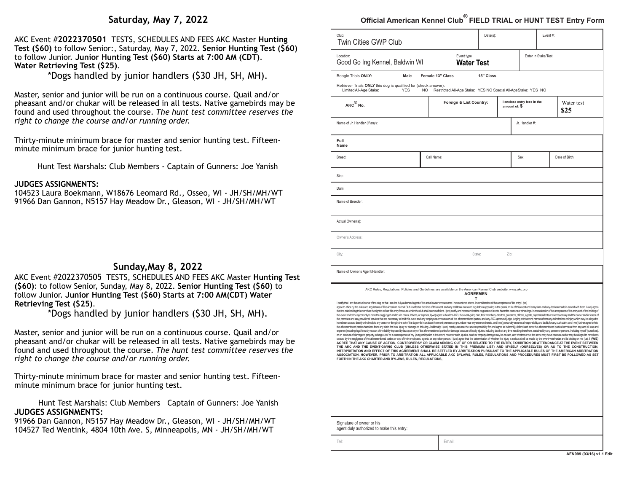# **Saturday, May 7, 2022**

AKC Event #**2022370501** TESTS, SCHEDULES AND FEES AKC Master **Hunting Test (\$60)** to follow Senior:, Saturday, May 7, 2022. **Senior Hunting Test (\$60)** to follow Junior. **Junior Hunting Test (\$60) Starts at 7:00 AM (CDT)**. **Water Retrieving Test (\$25)**.

\*Dogs handled by junior handlers (\$30 JH, SH, MH).

Master, senior and junior will be run on a continuous course. Quail and/or pheasant and/or chukar will be released in all tests. Native gamebirds may be found and used throughout the course. *The hunt test committee reserves the right to change the course and/or running order.* 

Thirty-minute minimum brace for master and senior hunting test. Fifteenminute minimum brace for junior hunting test.

Hunt Test Marshals: Club Members - Captain of Gunners: Joe Yanish

#### **JUDGES ASSIGNMENTS:**

104523 Laura Boekmann, W18676 Leomard Rd., Osseo, WI - JH/SH/MH/WT 91966 Dan Gannon, N5157 Hay Meadow Dr., Gleason, WI - JH/SH/MH/WT

# **Sunday,May 8, 2022**

AKC Event #2022370505 TESTS, SCHEDULES AND FEES AKC Master **Hunting Test (\$60)**: to follow Senior, Sunday, May 8, 2022. **Senior Hunting Test (\$60)** to follow Junior. **Junior Hunting Test (\$60) Starts at 7:00 AM(CDT) Water Retrieving Test (\$25)**.

\*Dogs handled by junior handlers (\$30 JH, SH, MH).

Master, senior and junior will be run on a continuous course. Quail and/or pheasant and/or chukar will be released in all tests. Native gamebirds may be found and used throughout the course. *The hunt test committee reserves the right to change the course and/or running order.* 

Thirty-minute minimum brace for master and senior hunting test. Fifteenminute minimum brace for junior hunting test.

Hunt Test Marshals: Club Members Captain of Gunners: Joe Yanish **JUDGES ASSIGNMENTS:** 

91966 Dan Gannon, N5157 Hay Meadow Dr., Gleason, WI - JH/SH/MH/WT 104527 Ted Wentink, 4804 10th Ave. S, Minneapolis, MN - JH/SH/MH/WT

# **Official American Kennel Club® FIELD TRIAL or HUNT TEST Entry Form**

| Club:<br><b>Twin Cities GWP Club</b>                                                                                                                                                                                                                                                                                                                                                                                                                                                                                                                                                                                                                                                                                                                                                                                                                                                                                                                                                                                                                                                                                                                                                                                                                                                                                                                                                                                                                                                                                                                                                                                                                                                                                                                                                                                                                                                                                                                                                                                                                                                                                                                                                                                                                                                                                                                                                                                                                                                                                                                                                                                                                                                                                                                                                                                                                                                                                                                                                                                                                                          |                        |                                                                | Date(s):                |      |                                              | Event #:             |                    |  |  |
|-------------------------------------------------------------------------------------------------------------------------------------------------------------------------------------------------------------------------------------------------------------------------------------------------------------------------------------------------------------------------------------------------------------------------------------------------------------------------------------------------------------------------------------------------------------------------------------------------------------------------------------------------------------------------------------------------------------------------------------------------------------------------------------------------------------------------------------------------------------------------------------------------------------------------------------------------------------------------------------------------------------------------------------------------------------------------------------------------------------------------------------------------------------------------------------------------------------------------------------------------------------------------------------------------------------------------------------------------------------------------------------------------------------------------------------------------------------------------------------------------------------------------------------------------------------------------------------------------------------------------------------------------------------------------------------------------------------------------------------------------------------------------------------------------------------------------------------------------------------------------------------------------------------------------------------------------------------------------------------------------------------------------------------------------------------------------------------------------------------------------------------------------------------------------------------------------------------------------------------------------------------------------------------------------------------------------------------------------------------------------------------------------------------------------------------------------------------------------------------------------------------------------------------------------------------------------------------------------------------------------------------------------------------------------------------------------------------------------------------------------------------------------------------------------------------------------------------------------------------------------------------------------------------------------------------------------------------------------------------------------------------------------------------------------------------------------------|------------------------|----------------------------------------------------------------|-------------------------|------|----------------------------------------------|----------------------|--------------------|--|--|
| Location:<br>Good Go Ing Kennel, Baldwin WI                                                                                                                                                                                                                                                                                                                                                                                                                                                                                                                                                                                                                                                                                                                                                                                                                                                                                                                                                                                                                                                                                                                                                                                                                                                                                                                                                                                                                                                                                                                                                                                                                                                                                                                                                                                                                                                                                                                                                                                                                                                                                                                                                                                                                                                                                                                                                                                                                                                                                                                                                                                                                                                                                                                                                                                                                                                                                                                                                                                                                                   |                        | Event type<br><b>Water Test</b>                                |                         |      |                                              | Enter in Stake/Test: |                    |  |  |
| Beagle Trials ONLY:<br>Male<br>Retriever Trials ONLY this dog is qualified for (check answer):<br>Limited All-Age Stake:<br><b>YES</b>                                                                                                                                                                                                                                                                                                                                                                                                                                                                                                                                                                                                                                                                                                                                                                                                                                                                                                                                                                                                                                                                                                                                                                                                                                                                                                                                                                                                                                                                                                                                                                                                                                                                                                                                                                                                                                                                                                                                                                                                                                                                                                                                                                                                                                                                                                                                                                                                                                                                                                                                                                                                                                                                                                                                                                                                                                                                                                                                        | Female 13" Class<br>NO | Restricted All-Age Stake: YES NO Special All-Age Stake: YES NO | 15" Class               |      |                                              |                      |                    |  |  |
| $AKC^{\otimes}$ No.                                                                                                                                                                                                                                                                                                                                                                                                                                                                                                                                                                                                                                                                                                                                                                                                                                                                                                                                                                                                                                                                                                                                                                                                                                                                                                                                                                                                                                                                                                                                                                                                                                                                                                                                                                                                                                                                                                                                                                                                                                                                                                                                                                                                                                                                                                                                                                                                                                                                                                                                                                                                                                                                                                                                                                                                                                                                                                                                                                                                                                                           |                        |                                                                | Foreign & List Country: |      | I enclose entry fees in the<br>amount of: \$ |                      | Water test<br>\$25 |  |  |
| Name of Jr. Handler (if any):                                                                                                                                                                                                                                                                                                                                                                                                                                                                                                                                                                                                                                                                                                                                                                                                                                                                                                                                                                                                                                                                                                                                                                                                                                                                                                                                                                                                                                                                                                                                                                                                                                                                                                                                                                                                                                                                                                                                                                                                                                                                                                                                                                                                                                                                                                                                                                                                                                                                                                                                                                                                                                                                                                                                                                                                                                                                                                                                                                                                                                                 |                        |                                                                |                         |      | Jr. Handler #:                               |                      |                    |  |  |
| Full<br>Name                                                                                                                                                                                                                                                                                                                                                                                                                                                                                                                                                                                                                                                                                                                                                                                                                                                                                                                                                                                                                                                                                                                                                                                                                                                                                                                                                                                                                                                                                                                                                                                                                                                                                                                                                                                                                                                                                                                                                                                                                                                                                                                                                                                                                                                                                                                                                                                                                                                                                                                                                                                                                                                                                                                                                                                                                                                                                                                                                                                                                                                                  |                        |                                                                |                         |      |                                              |                      |                    |  |  |
| Breed:                                                                                                                                                                                                                                                                                                                                                                                                                                                                                                                                                                                                                                                                                                                                                                                                                                                                                                                                                                                                                                                                                                                                                                                                                                                                                                                                                                                                                                                                                                                                                                                                                                                                                                                                                                                                                                                                                                                                                                                                                                                                                                                                                                                                                                                                                                                                                                                                                                                                                                                                                                                                                                                                                                                                                                                                                                                                                                                                                                                                                                                                        | Call Name:             |                                                                |                         | Sex: |                                              |                      | Date of Birth:     |  |  |
| Sire:                                                                                                                                                                                                                                                                                                                                                                                                                                                                                                                                                                                                                                                                                                                                                                                                                                                                                                                                                                                                                                                                                                                                                                                                                                                                                                                                                                                                                                                                                                                                                                                                                                                                                                                                                                                                                                                                                                                                                                                                                                                                                                                                                                                                                                                                                                                                                                                                                                                                                                                                                                                                                                                                                                                                                                                                                                                                                                                                                                                                                                                                         |                        |                                                                |                         |      |                                              |                      |                    |  |  |
| Dam:                                                                                                                                                                                                                                                                                                                                                                                                                                                                                                                                                                                                                                                                                                                                                                                                                                                                                                                                                                                                                                                                                                                                                                                                                                                                                                                                                                                                                                                                                                                                                                                                                                                                                                                                                                                                                                                                                                                                                                                                                                                                                                                                                                                                                                                                                                                                                                                                                                                                                                                                                                                                                                                                                                                                                                                                                                                                                                                                                                                                                                                                          |                        |                                                                |                         |      |                                              |                      |                    |  |  |
| Name of Breeder:                                                                                                                                                                                                                                                                                                                                                                                                                                                                                                                                                                                                                                                                                                                                                                                                                                                                                                                                                                                                                                                                                                                                                                                                                                                                                                                                                                                                                                                                                                                                                                                                                                                                                                                                                                                                                                                                                                                                                                                                                                                                                                                                                                                                                                                                                                                                                                                                                                                                                                                                                                                                                                                                                                                                                                                                                                                                                                                                                                                                                                                              |                        |                                                                |                         |      |                                              |                      |                    |  |  |
| Actual Owner(s):                                                                                                                                                                                                                                                                                                                                                                                                                                                                                                                                                                                                                                                                                                                                                                                                                                                                                                                                                                                                                                                                                                                                                                                                                                                                                                                                                                                                                                                                                                                                                                                                                                                                                                                                                                                                                                                                                                                                                                                                                                                                                                                                                                                                                                                                                                                                                                                                                                                                                                                                                                                                                                                                                                                                                                                                                                                                                                                                                                                                                                                              |                        |                                                                |                         |      |                                              |                      |                    |  |  |
| Owner's Address:                                                                                                                                                                                                                                                                                                                                                                                                                                                                                                                                                                                                                                                                                                                                                                                                                                                                                                                                                                                                                                                                                                                                                                                                                                                                                                                                                                                                                                                                                                                                                                                                                                                                                                                                                                                                                                                                                                                                                                                                                                                                                                                                                                                                                                                                                                                                                                                                                                                                                                                                                                                                                                                                                                                                                                                                                                                                                                                                                                                                                                                              |                        |                                                                |                         |      |                                              |                      |                    |  |  |
| City:                                                                                                                                                                                                                                                                                                                                                                                                                                                                                                                                                                                                                                                                                                                                                                                                                                                                                                                                                                                                                                                                                                                                                                                                                                                                                                                                                                                                                                                                                                                                                                                                                                                                                                                                                                                                                                                                                                                                                                                                                                                                                                                                                                                                                                                                                                                                                                                                                                                                                                                                                                                                                                                                                                                                                                                                                                                                                                                                                                                                                                                                         |                        | State:                                                         |                         | Zip: |                                              |                      |                    |  |  |
| Name of Owner's Agent/Handler:                                                                                                                                                                                                                                                                                                                                                                                                                                                                                                                                                                                                                                                                                                                                                                                                                                                                                                                                                                                                                                                                                                                                                                                                                                                                                                                                                                                                                                                                                                                                                                                                                                                                                                                                                                                                                                                                                                                                                                                                                                                                                                                                                                                                                                                                                                                                                                                                                                                                                                                                                                                                                                                                                                                                                                                                                                                                                                                                                                                                                                                |                        |                                                                |                         |      |                                              |                      |                    |  |  |
| AKC Rules, Regulations, Policies and Guidelines are available on the American Kennel Club website: www.akc.org<br>I certify that I am the actual owner of the dog, or that I am the duly authorized agent of the actual owner whose name I have entered above. In consideration of the acceptance of this entry, I (we)<br>agree to abide by the rules and regulations of The American Kennel Club in effect at the time of this event, and any additional rules and regulations appearing in the premium list of this event and entry form and any decis<br>that the club holding this event has the right to refuse this entry for cause which the club shall deem sufficient. I (we) certify and represent that the dog entered is not a hazard to persons or other dogs. In considerati<br>this event and of the opportunity to have the dog judged and to win prizes, ribbons, or trophies, I (we) agree to hold the AKC, the event-giving club, their members, directors, governors, officers, agents, superintendents<br>the premises and any provider of services that are necessary to hold this event and any employees or volunteers of the aforementioned parties, and any AKC approved judge, judging at this event, harmless from any daim for l<br>have been caused directly or indirectly to any person or thing by the act of this dog while in or about the event premises or grounds or near any entrance thereto, and I (we) personally assume all responsibility and faishl<br>the aforementioned parties harmless from any claim for loss, injury or damage to this dog. Additionaly, I (we) hereby assume the sole responsibility for and agree to indemnify, defend and save the adorementoned parties har<br>expense (induding legal fees) by reason of the lability imposed by law upon any of the aforementioned parties for damage because of bodly injuries, induding death at any time resulting therefrom, sustained by any person or<br>or on account of damage to property, arising out of or in consequence of my (our) participation in this event, however such, injuries, death or property damage may be caused, and whether or not the same may have been cause<br>caused by the neglgence of the aforementioned parties or any of their employees, agents, or any other person. I (we) agree that the determination of whether the injury is serious shall be made by the event veterinarian and<br>AGREE THAT ANY CAUSE OF ACTION, CONTROVERSY OR CLAIM ARISING OUT OF OR RELATED TO THE ENTRY, EXHIBITION OR ATTENDANCE AT THE EVENT BETWEEN<br>THE AKC AND THE EVENT-GIVING CLUB (UNLESS OTHERWISE STATED IN THIS PREMIUM LIST) AND MYSELF (OURSELVES) OR AS TO THE CONSTRUCTION,<br>INTERPRETATION AND EFFECT OF THIS AGREEMENT SHALL BE SETTLED BY ARBITRATION PURSUANT TO THE APPLICABLE RULES OF THE AMERICAN ARBITRATION<br>ASSOCIATION. HOWEVER, PRIOR TO ARBITRATION ALL APPLICABLE AKC BYLAWS, RULES, REGULATIONS AND PROCEDURES MUST FIRST BE FOLLOWED AS SET<br>FORTH IN THE AKC CHARTER AND BYLAWS, RULES, REGULATIONS, |                        | <b>AGREEMEN</b><br>т                                           |                         |      |                                              |                      |                    |  |  |
| Signature of owner or his<br>agent duly authorized to make this entry:                                                                                                                                                                                                                                                                                                                                                                                                                                                                                                                                                                                                                                                                                                                                                                                                                                                                                                                                                                                                                                                                                                                                                                                                                                                                                                                                                                                                                                                                                                                                                                                                                                                                                                                                                                                                                                                                                                                                                                                                                                                                                                                                                                                                                                                                                                                                                                                                                                                                                                                                                                                                                                                                                                                                                                                                                                                                                                                                                                                                        |                        |                                                                |                         |      |                                              |                      |                    |  |  |
| Tel:                                                                                                                                                                                                                                                                                                                                                                                                                                                                                                                                                                                                                                                                                                                                                                                                                                                                                                                                                                                                                                                                                                                                                                                                                                                                                                                                                                                                                                                                                                                                                                                                                                                                                                                                                                                                                                                                                                                                                                                                                                                                                                                                                                                                                                                                                                                                                                                                                                                                                                                                                                                                                                                                                                                                                                                                                                                                                                                                                                                                                                                                          | Email:                 |                                                                |                         |      |                                              |                      |                    |  |  |